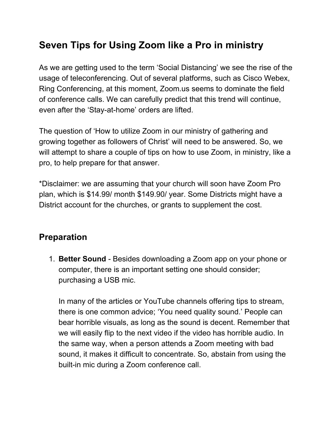## **Seven Tips for Using Zoom like a Pro in ministry**

As we are getting used to the term 'Social Distancing' we see the rise of the usage of teleconferencing. Out of several platforms, such as Cisco Webex, Ring Conferencing, at this moment, Zoom.us seems to dominate the field of conference calls. We can carefully predict that this trend will continue, even after the 'Stay-at-home' orders are lifted.

The question of 'How to utilize Zoom in our ministry of gathering and growing together as followers of Christ' will need to be answered. So, we will attempt to share a couple of tips on how to use Zoom, in ministry, like a pro, to help prepare for that answer.

\*Disclaimer: we are assuming that your church will soon have Zoom Pro plan, which is \$14.99/ month \$149.90/ year. Some Districts might have a District account for the churches, or grants to supplement the cost.

## **Preparation**

1. **Better Sound** - Besides downloading a Zoom app on your phone or computer, there is an important setting one should consider; purchasing a USB mic.

In many of the articles or YouTube channels offering tips to stream, there is one common advice; 'You need quality sound.' People can bear horrible visuals, as long as the sound is decent. Remember that we will easily flip to the next video if the video has horrible audio. In the same way, when a person attends a Zoom meeting with bad sound, it makes it difficult to concentrate. So, abstain from using the built-in mic during a Zoom conference call.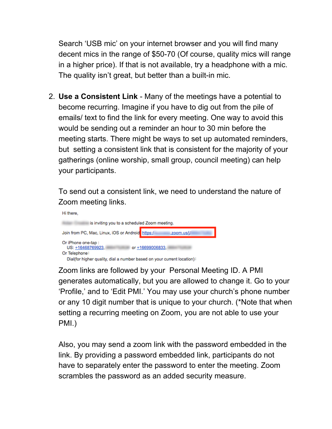Search 'USB mic' on your internet browser and you will find many decent mics in the range of \$50-70 (Of course, quality mics will range in a higher price). If that is not available, try a headphone with a mic. The quality isn't great, but better than a built-in mic.

2. **Use a Consistent Link** - Many of the meetings have a potential to become recurring. Imagine if you have to dig out from the pile of emails/ text to find the link for every meeting. One way to avoid this would be sending out a reminder an hour to 30 min before the meeting starts. There might be ways to set up automated reminders, but setting a consistent link that is consistent for the majority of your gatherings (online worship, small group, council meeting) can help your participants.

To send out a consistent link, we need to understand the nature of Zoom meeting links.



Zoom links are followed by your Personal Meeting ID. A PMI generates automatically, but you are allowed to change it. Go to your 'Profile,' and to 'Edit PMI.' You may use your church's phone number or any 10 digit number that is unique to your church. (\*Note that when setting a recurring meeting on Zoom, you are not able to use your PMI.)

Also, you may send a zoom link with the password embedded in the link. By providing a password embedded link, participants do not have to separately enter the password to enter the meeting. Zoom scrambles the password as an added security measure.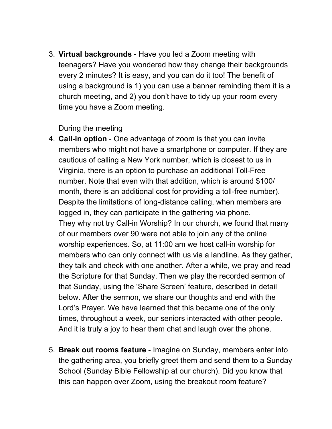3. **Virtual backgrounds** - Have you led a Zoom meeting with teenagers? Have you wondered how they change their backgrounds every 2 minutes? It is easy, and you can do it too! The benefit of using a background is 1) you can use a banner reminding them it is a church meeting, and 2) you don't have to tidy up your room every time you have a Zoom meeting.

## During the meeting

- 4. **Call-in option** One advantage of zoom is that you can invite members who might not have a smartphone or computer. If they are cautious of calling a New York number, which is closest to us in Virginia, there is an option to purchase an additional Toll-Free number. Note that even with that addition, which is around \$100/ month, there is an additional cost for providing a toll-free number). Despite the limitations of long-distance calling, when members are logged in, they can participate in the gathering via phone. They why not try Call-in Worship? In our church, we found that many of our members over 90 were not able to join any of the online worship experiences. So, at 11:00 am we host call-in worship for members who can only connect with us via a landline. As they gather, they talk and check with one another. After a while, we pray and read the Scripture for that Sunday. Then we play the recorded sermon of that Sunday, using the 'Share Screen' feature, described in detail below. After the sermon, we share our thoughts and end with the Lord's Prayer. We have learned that this became one of the only times, throughout a week, our seniors interacted with other people. And it is truly a joy to hear them chat and laugh over the phone.
- 5. **Break out rooms feature** Imagine on Sunday, members enter into the gathering area, you briefly greet them and send them to a Sunday School (Sunday Bible Fellowship at our church). Did you know that this can happen over Zoom, using the breakout room feature?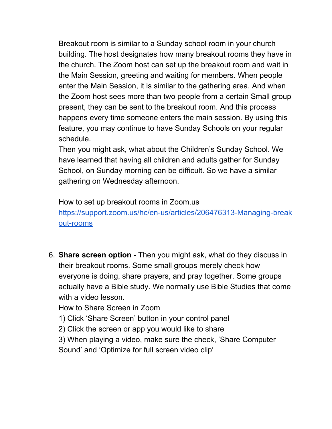Breakout room is similar to a Sunday school room in your church building. The host designates how many breakout rooms they have in the church. The Zoom host can set up the breakout room and wait in the Main Session, greeting and waiting for members. When people enter the Main Session, it is similar to the gathering area. And when the Zoom host sees more than two people from a certain Small group present, they can be sent to the breakout room. And this process happens every time someone enters the main session. By using this feature, you may continue to have Sunday Schools on your regular schedule.

Then you might ask, what about the Children's Sunday School. We have learned that having all children and adults gather for Sunday School, on Sunday morning can be difficult. So we have a similar gathering on Wednesday afternoon.

How to set up breakout rooms in Zoom.us

[https://support.zoom.us/hc/en-us/articles/206476313-Managing-break](https://support.zoom.us/hc/en-us/articles/206476313-Managing-breakout-rooms) [out-rooms](https://support.zoom.us/hc/en-us/articles/206476313-Managing-breakout-rooms)

6. **Share screen option** - Then you might ask, what do they discuss in their breakout rooms. Some small groups merely check how everyone is doing, share prayers, and pray together. Some groups actually have a Bible study. We normally use Bible Studies that come with a video lesson.

How to Share Screen in Zoom

1) Click 'Share Screen' button in your control panel

2) Click the screen or app you would like to share

3) When playing a video, make sure the check, 'Share Computer Sound' and 'Optimize for full screen video clip'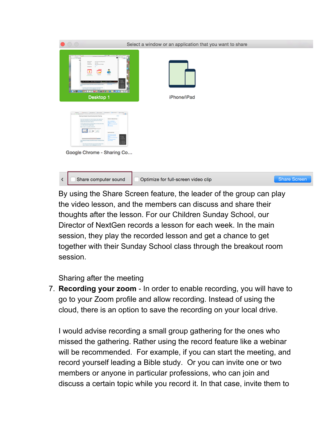| $\bullet$ 0 0                                                                                                                                                                                                                                                                                                                                                                                                                                                                                                                                                                                                                                                                                                                                                                                                                                                                                                              | Select a window or an application that you want to share |                     |
|----------------------------------------------------------------------------------------------------------------------------------------------------------------------------------------------------------------------------------------------------------------------------------------------------------------------------------------------------------------------------------------------------------------------------------------------------------------------------------------------------------------------------------------------------------------------------------------------------------------------------------------------------------------------------------------------------------------------------------------------------------------------------------------------------------------------------------------------------------------------------------------------------------------------------|----------------------------------------------------------|---------------------|
| <b>A man for an Angle</b><br><b>ARTIST LITTLE WAS SIDE ROOM</b><br><b>College Street</b><br>m<br><b>Bright</b><br>to highlandship<br><b>Rendered</b><br><b>MARKET</b><br>some on<br><b>THE CONSULTANCE</b><br><b>STATISTICS</b><br>۵<br>۰<br><b>MARINE</b><br><b>Service</b><br><b>Service</b><br>≘<br><b>Service Schlesworth Co.</b><br>m<br>To provide an advance to an interface and<br>the second state of the second con-<br><b>AND LOOK BELWED A PASSAGE I</b><br>Desktop 1                                                                                                                                                                                                                                                                                                                                                                                                                                          | iPhone/iPad                                              |                     |
| THEN  I PROTECT ANNUAL LINEAR 1 DOMEST & BANK 1 LINEAR 1<br>$-0.01$<br>A 11 K at the highlightest and out this day, built for the first both<br><b>Pering Computer Teams During Screen Sharing</b><br>$\sim$<br>Academient Africa<br>during the further data in the first details are the replaced of<br>and come that when you come and some to price the more.<br><b>Barnette</b><br><b>Brown and State Countries</b><br><b>A new years and marked for first the Protocol as delivery man during</b><br><b>Construction</b><br><b><i><u>P.O. Box 200 Inc. President and Con-</u></i></b><br><b>STATISTICS</b><br><b>Brand of Construction Construction</b><br><b>Carl Advised</b><br><b>MOTORFILM</b><br>$\sim$<br>Ë<br>is not the trace and in expected the particles for expected to the state in the or-<br>$- - - -$<br>$\sim$<br>1. The state and all character in the design top and<br>Google Chrome - Sharing Co |                                                          |                     |
| Share computer sound<br>∢                                                                                                                                                                                                                                                                                                                                                                                                                                                                                                                                                                                                                                                                                                                                                                                                                                                                                                  | Optimize for full-screen video clip                      | <b>Share Screen</b> |

By using the Share Screen feature, the leader of the group can play the video lesson, and the members can discuss and share their thoughts after the lesson. For our Children Sunday School, our Director of NextGen records a lesson for each week. In the main session, they play the recorded lesson and get a chance to get together with their Sunday School class through the breakout room session.

Sharing after the meeting

7. **Recording your zoom** - In order to enable recording, you will have to go to your Zoom profile and allow recording. Instead of using the cloud, there is an option to save the recording on your local drive.

I would advise recording a small group gathering for the ones who missed the gathering. Rather using the record feature like a webinar will be recommended. For example, if you can start the meeting, and record yourself leading a Bible study. Or you can invite one or two members or anyone in particular professions, who can join and discuss a certain topic while you record it. In that case, invite them to